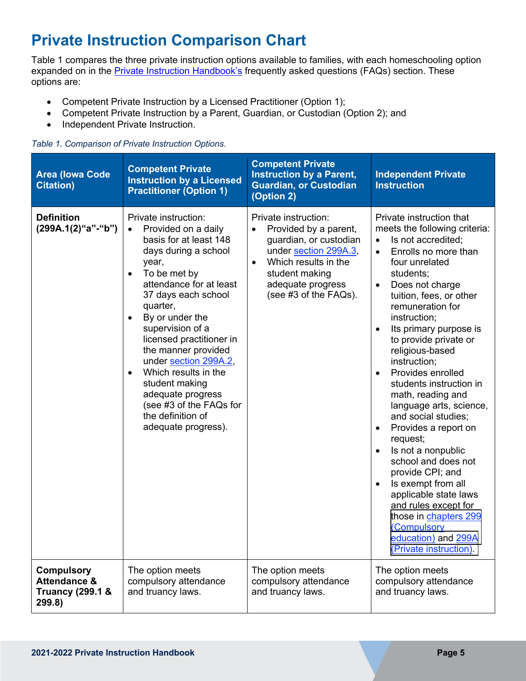## **Private Instruction Comparison Chart**

expanded on in the **Private Instruction Handbook's** frequently asked questions (FAQs) section. These Table 1 compares the three private instruction options available to families, with each homeschooling option options are:

- Competent Private Instruction by a Licensed Practitioner (Option 1);
- Competent Private Instruction by a Parent, Guardian, or Custodian (Option 2); and
- Independent Private Instruction.

## *Table 1. Comparison of Private Instruction Options.*

| <b>Area (lowa Code)</b><br><b>Citation</b> )                                          | <b>Competent Private</b><br><b>Instruction by a Licensed</b><br><b>Practitioner (Option 1)</b>                                                                                                                                                                                                                                                                                                                                                                                                    | <b>Competent Private</b><br><b>Instruction by a Parent,</b><br><b>Guardian, or Custodian</b><br>(Option 2)                                                                               | <b>Independent Private</b><br><b>Instruction</b>                                                                                                                                                                                                                                                                                                                                                                                                                                                                                                                                                                                                                                                                                                                            |
|---------------------------------------------------------------------------------------|---------------------------------------------------------------------------------------------------------------------------------------------------------------------------------------------------------------------------------------------------------------------------------------------------------------------------------------------------------------------------------------------------------------------------------------------------------------------------------------------------|------------------------------------------------------------------------------------------------------------------------------------------------------------------------------------------|-----------------------------------------------------------------------------------------------------------------------------------------------------------------------------------------------------------------------------------------------------------------------------------------------------------------------------------------------------------------------------------------------------------------------------------------------------------------------------------------------------------------------------------------------------------------------------------------------------------------------------------------------------------------------------------------------------------------------------------------------------------------------------|
| <b>Definition</b><br>(299A.1(2)"a"-"b")                                               | Private instruction:<br>Provided on a daily<br>$\bullet$<br>basis for at least 148<br>days during a school<br>year,<br>To be met by<br>$\bullet$<br>attendance for at least<br>37 days each school<br>quarter,<br>By or under the<br>$\bullet$<br>supervision of a<br>licensed practitioner in<br>the manner provided<br>under section 299A.2,<br>Which results in the<br>$\bullet$<br>student making<br>adequate progress<br>(see #3 of the FAQs for<br>the definition of<br>adequate progress). | Private instruction:<br>Provided by a parent,<br>guardian, or custodian<br>under section 299A.3,<br>Which results in the<br>student making<br>adequate progress<br>(see #3 of the FAQs). | Private instruction that<br>meets the following criteria:<br>Is not accredited;<br>$\bullet$<br>Enrolls no more than<br>$\bullet$<br>four unrelated<br>students;<br>Does not charge<br>$\bullet$<br>tuition, fees, or other<br>remuneration for<br>instruction;<br>Its primary purpose is<br>to provide private or<br>religious-based<br>instruction;<br>Provides enrolled<br>students instruction in<br>math, reading and<br>language arts, science,<br>and social studies;<br>Provides a report on<br>$\bullet$<br>request;<br>Is not a nonpublic<br>$\bullet$<br>school and does not<br>provide CPI; and<br>Is exempt from all<br>applicable state laws<br>and rules except for<br>those in chapters 299<br>(Compulsory<br>education) and 299A<br>(Private instruction). |
| <b>Compulsory</b><br><b>Attendance &amp;</b><br><b>Truancy (299.1 &amp;</b><br>299.8) | The option meets<br>compulsory attendance<br>and truancy laws.                                                                                                                                                                                                                                                                                                                                                                                                                                    | The option meets<br>compulsory attendance<br>and truancy laws.                                                                                                                           | The option meets<br>compulsory attendance<br>and truancy laws.                                                                                                                                                                                                                                                                                                                                                                                                                                                                                                                                                                                                                                                                                                              |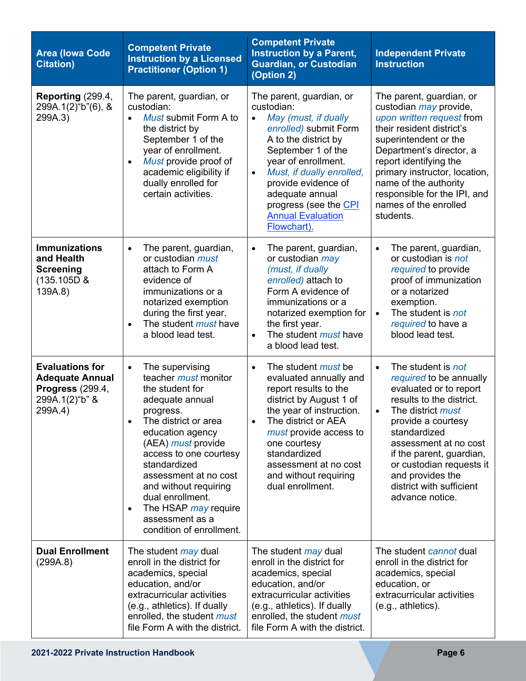| <b>Area (lowa Code)</b><br><b>Citation</b> )                                                             | <b>Competent Private</b><br><b>Instruction by a Licensed</b><br><b>Practitioner (Option 1)</b>                                                                                                                                                                                                                                                                                     | <b>Competent Private</b><br><b>Instruction by a Parent,</b><br><b>Guardian, or Custodian</b><br>(Option 2)                                                                                                                                                                                                                        | <b>Independent Private</b><br><b>Instruction</b>                                                                                                                                                                                                                                                                                                    |
|----------------------------------------------------------------------------------------------------------|------------------------------------------------------------------------------------------------------------------------------------------------------------------------------------------------------------------------------------------------------------------------------------------------------------------------------------------------------------------------------------|-----------------------------------------------------------------------------------------------------------------------------------------------------------------------------------------------------------------------------------------------------------------------------------------------------------------------------------|-----------------------------------------------------------------------------------------------------------------------------------------------------------------------------------------------------------------------------------------------------------------------------------------------------------------------------------------------------|
| Reporting (299.4,<br>299A.1(2)"b"(6), &<br>299A.3)                                                       | The parent, guardian, or<br>custodian:<br>Must submit Form A to<br>$\bullet$<br>the district by<br>September 1 of the<br>year of enrollment.<br>Must provide proof of<br>$\bullet$<br>academic eligibility if<br>dually enrolled for<br>certain activities.                                                                                                                        | The parent, guardian, or<br>custodian:<br>May (must, if dually<br>$\bullet$<br>enrolled) submit Form<br>A to the district by<br>September 1 of the<br>year of enrollment.<br>Must, if dually enrolled,<br>$\bullet$<br>provide evidence of<br>adequate annual<br>progress (see the CPI<br><b>Annual Evaluation</b><br>Flowchart). | The parent, guardian, or<br>custodian <i>may</i> provide,<br>upon written request from<br>their resident district's<br>superintendent or the<br>Department's director, a<br>report identifying the<br>primary instructor, location,<br>name of the authority<br>responsible for the IPI, and<br>names of the enrolled<br>students.                  |
| <b>Immunizations</b><br>and Health<br><b>Screening</b><br>(135.105D &<br>139A.8)                         | The parent, guardian,<br>$\bullet$<br>or custodian <i>must</i><br>attach to Form A<br>evidence of<br>immunizations or a<br>notarized exemption<br>during the first year.<br>The student <i>must</i> have<br>$\bullet$<br>a blood lead test.                                                                                                                                        | The parent, guardian,<br>$\bullet$<br>or custodian may<br>(must, if dually<br>enrolled) attach to<br>Form A evidence of<br>immunizations or a<br>notarized exemption for<br>the first year.<br>The student <i>must</i> have<br>$\bullet$<br>a blood lead test.                                                                    | The parent, guardian,<br>$\bullet$<br>or custodian is not<br>required to provide<br>proof of immunization<br>or a notarized<br>exemption.<br>The student is not<br>$\bullet$<br>required to have a<br>blood lead test.                                                                                                                              |
| <b>Evaluations for</b><br><b>Adequate Annual</b><br><b>Progress (299.4,</b><br>299A.1(2)"b" &<br>299A.4) | The supervising<br>$\bullet$<br>teacher must monitor<br>the student for<br>adequate annual<br>progress.<br>The district or area<br>٠<br>education agency<br>(AEA) must provide<br>access to one courtesy<br>standardized<br>assessment at no cost<br>and without requiring<br>dual enrollment.<br>The HSAP may require<br>$\bullet$<br>assessment as a<br>condition of enrollment. | The student <i>must</i> be<br>$\bullet$<br>evaluated annually and<br>report results to the<br>district by August 1 of<br>the year of instruction.<br>The district or AEA<br>$\bullet$<br>must provide access to<br>one courtesy<br>standardized<br>assessment at no cost<br>and without requiring<br>dual enrollment.             | The student is not<br>$\bullet$<br>required to be annually<br>evaluated or to report<br>results to the district.<br>The district <i>must</i><br>$\bullet$<br>provide a courtesy<br>standardized<br>assessment at no cost<br>if the parent, guardian,<br>or custodian requests it<br>and provides the<br>district with sufficient<br>advance notice. |
| <b>Dual Enrollment</b><br>(299A.8)                                                                       | The student <i>may</i> dual<br>enroll in the district for<br>academics, special<br>education, and/or<br>extracurricular activities<br>(e.g., athletics). If dually<br>enrolled, the student must<br>file Form A with the district.                                                                                                                                                 | The student <i>may</i> dual<br>enroll in the district for<br>academics, special<br>education, and/or<br>extracurricular activities<br>(e.g., athletics). If dually<br>enrolled, the student must<br>file Form A with the district.                                                                                                | The student cannot dual<br>enroll in the district for<br>academics, special<br>education, or<br>extracurricular activities<br>(e.g., athletics).                                                                                                                                                                                                    |